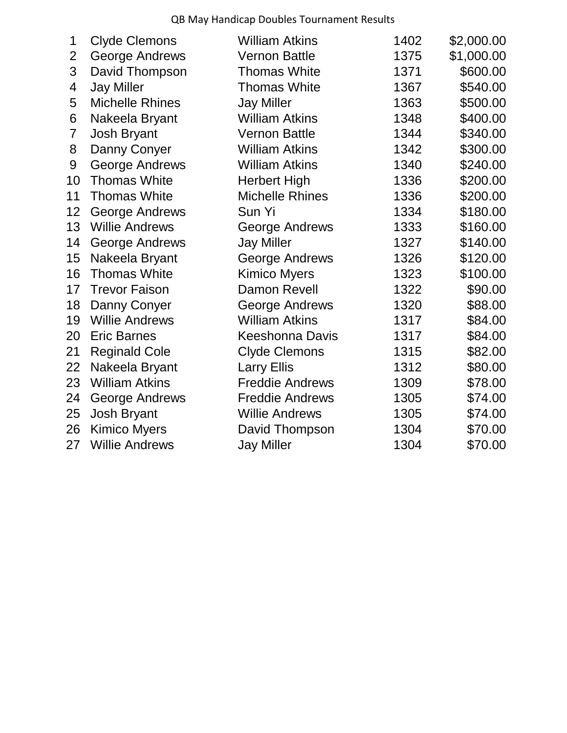QB May Handicap Doubles Tournament Results

| <b>Clyde Clemons</b>   | <b>William Atkins</b>  | 1402                   | \$2,000.00 |
|------------------------|------------------------|------------------------|------------|
| <b>George Andrews</b>  | <b>Vernon Battle</b>   | 1375                   | \$1,000.00 |
| David Thompson         | <b>Thomas White</b>    | 1371                   | \$600.00   |
| <b>Jay Miller</b>      | <b>Thomas White</b>    | 1367                   | \$540.00   |
| <b>Michelle Rhines</b> | <b>Jay Miller</b>      | 1363                   | \$500.00   |
| Nakeela Bryant         | <b>William Atkins</b>  | 1348                   | \$400.00   |
| Josh Bryant            | <b>Vernon Battle</b>   | 1344                   | \$340.00   |
| Danny Conyer           | <b>William Atkins</b>  | 1342                   | \$300.00   |
| <b>George Andrews</b>  | <b>William Atkins</b>  | 1340                   | \$240.00   |
| <b>Thomas White</b>    | <b>Herbert High</b>    | 1336                   | \$200.00   |
| <b>Thomas White</b>    | <b>Michelle Rhines</b> | 1336                   | \$200.00   |
| <b>George Andrews</b>  | Sun Yi                 | 1334                   | \$180.00   |
| <b>Willie Andrews</b>  | George Andrews         | 1333                   | \$160.00   |
| <b>George Andrews</b>  | <b>Jay Miller</b>      | 1327                   | \$140.00   |
| Nakeela Bryant         | <b>George Andrews</b>  | 1326                   | \$120.00   |
| <b>Thomas White</b>    | <b>Kimico Myers</b>    | 1323                   | \$100.00   |
| <b>Trevor Faison</b>   | <b>Damon Revell</b>    | 1322                   | \$90.00    |
| Danny Conyer           | <b>George Andrews</b>  | 1320                   | \$88.00    |
| <b>Willie Andrews</b>  | <b>William Atkins</b>  | 1317                   | \$84.00    |
| <b>Eric Barnes</b>     | <b>Keeshonna Davis</b> | 1317                   | \$84.00    |
| <b>Reginald Cole</b>   | <b>Clyde Clemons</b>   | 1315                   | \$82.00    |
| Nakeela Bryant         | <b>Larry Ellis</b>     | 1312                   | \$80.00    |
| <b>William Atkins</b>  |                        | 1309                   | \$78.00    |
| <b>George Andrews</b>  | <b>Freddie Andrews</b> | 1305                   | \$74.00    |
| Josh Bryant            | <b>Willie Andrews</b>  | 1305                   | \$74.00    |
| <b>Kimico Myers</b>    | David Thompson         | 1304                   | \$70.00    |
| <b>Willie Andrews</b>  | <b>Jay Miller</b>      | 1304                   | \$70.00    |
|                        |                        | <b>Freddie Andrews</b> |            |